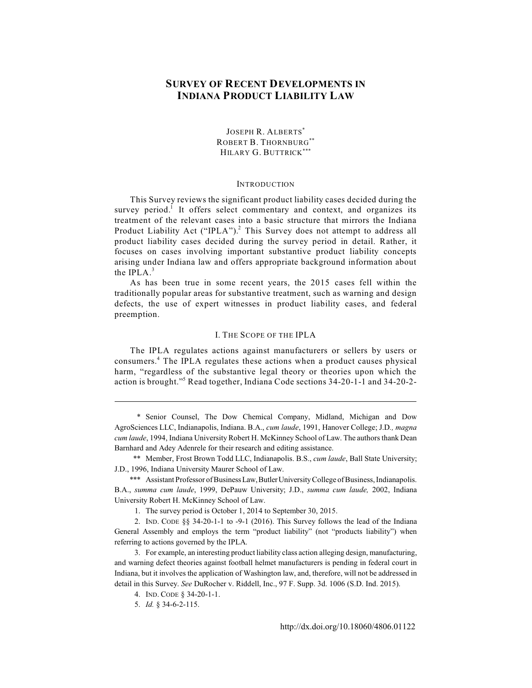# **SURVEY OF RECENT DEVELOPMENTS IN INDIANA PRODUCT LIABILITY LAW**

JOSEPH R. ALBERTS\* ROBERT B. THORNBURG\*\* HILARY G. BUTTRICK\*\*\*

## INTRODUCTION

This Survey reviews the significant product liability cases decided during the survey period.<sup>1</sup> It offers select commentary and context, and organizes its treatment of the relevant cases into a basic structure that mirrors the Indiana Product Liability Act ("IPLA").<sup>2</sup> This Survey does not attempt to address all product liability cases decided during the survey period in detail. Rather, it focuses on cases involving important substantive product liability concepts arising under Indiana law and offers appropriate background information about the IPLA $^3$ 

As has been true in some recent years, the 2015 cases fell within the traditionally popular areas for substantive treatment, such as warning and design defects, the use of expert witnesses in product liability cases, and federal preemption.

# I. THE SCOPE OF THE IPLA

The IPLA regulates actions against manufacturers or sellers by users or consumers.<sup>4</sup> The IPLA regulates these actions when a product causes physical harm, "regardless of the substantive legal theory or theories upon which the action is brought."<sup>5</sup> Read together, Indiana Code sections 34-20-1-1 and 34-20-2-

\* Senior Counsel, The Dow Chemical Company, Midland, Michigan and Dow AgroSciences LLC, Indianapolis, Indiana. B.A., *cum laude*, 1991, Hanover College; J.D*., magna cum laude*, 1994, Indiana University Robert H. McKinney School of Law. The authors thank Dean Barnhard and Adey Adenrele for their research and editing assistance.

\*\* Member, Frost Brown Todd LLC, Indianapolis. B.S., *cum laude*, Ball State University; J.D., 1996, Indiana University Maurer School of Law.

\*\*\* Assistant Professor of Business Law, Butler University College of Business, Indianapolis. B.A., *summa cum laude*, 1999, DePauw University; J.D., *summa cum laude,* 2002, Indiana University Robert H. McKinney School of Law.

1. The survey period is October 1, 2014 to September 30, 2015.

2. IND. CODE §§ 34-20-1-1 to -9-1 (2016). This Survey follows the lead of the Indiana General Assembly and employs the term "product liability" (not "products liability") when referring to actions governed by the IPLA.

3. For example, an interesting product liability class action alleging design, manufacturing, and warning defect theories against football helmet manufacturers is pending in federal court in Indiana, but it involves the application of Washington law, and, therefore, will not be addressed in detail in this Survey. *See* DuRocher v. Riddell, Inc., 97 F. Supp. 3d. 1006 (S.D. Ind. 2015).

4. IND. CODE § 34-20-1-1.

5. *Id.* § 34-6-2-115.

http://dx.doi.org/10.18060/4806.01122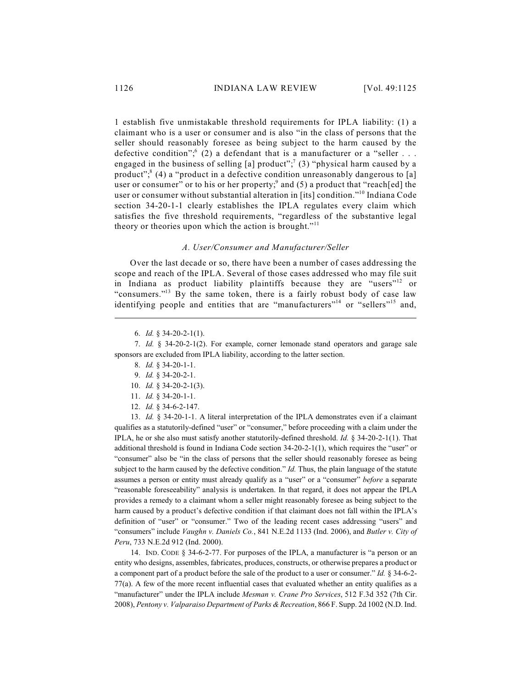1 establish five unmistakable threshold requirements for IPLA liability: (1) a claimant who is a user or consumer and is also "in the class of persons that the seller should reasonably foresee as being subject to the harm caused by the defective condition";  $(2)$  a defendant that is a manufacturer or a "seller ... engaged in the business of selling [a] product";<sup>7</sup> (3) "physical harm caused by a product"; $^{8}$  (4) a "product in a defective condition unreasonably dangerous to [a] user or consumer" or to his or her property;<sup>9</sup> and (5) a product that "reach[ed] the user or consumer without substantial alteration in [its] condition."<sup>10</sup> Indiana Code section 34-20-1-1 clearly establishes the IPLA regulates every claim which satisfies the five threshold requirements, "regardless of the substantive legal theory or theories upon which the action is brought."<sup>11</sup>

#### *A. User/Consumer and Manufacturer/Seller*

Over the last decade or so, there have been a number of cases addressing the scope and reach of the IPLA. Several of those cases addressed who may file suit in Indiana as product liability plaintiffs because they are "users"<sup>12</sup> or "consumers."<sup>13</sup> By the same token, there is a fairly robust body of case law identifying people and entities that are "manufacturers"<sup>14</sup> or "sellers"<sup>15</sup> and,

- 8. *Id.* § 34-20-1-1.
- 9. *Id.* § 34-20-2-1.
- 10. *Id.* § 34-20-2-1(3).
- 11. *Id.* § 34-20-1-1.
- 12. *Id.* § 34-6-2-147.

13. *Id.* § 34-20-1-1. A literal interpretation of the IPLA demonstrates even if a claimant qualifies as a statutorily-defined "user" or "consumer," before proceeding with a claim under the IPLA, he or she also must satisfy another statutorily-defined threshold. *Id.* § 34-20-2-1(1). That additional threshold is found in Indiana Code section 34-20-2-1(1), which requires the "user" or "consumer" also be "in the class of persons that the seller should reasonably foresee as being subject to the harm caused by the defective condition." *Id*. Thus, the plain language of the statute assumes a person or entity must already qualify as a "user" or a "consumer" *before* a separate "reasonable foreseeability" analysis is undertaken. In that regard, it does not appear the IPLA provides a remedy to a claimant whom a seller might reasonably foresee as being subject to the harm caused by a product's defective condition if that claimant does not fall within the IPLA's definition of "user" or "consumer." Two of the leading recent cases addressing "users" and "consumers" include *Vaughn v. Daniels Co.*, 841 N.E.2d 1133 (Ind. 2006), and *Butler v. City of Peru*, 733 N.E.2d 912 (Ind. 2000).

14. IND. CODE § 34-6-2-77. For purposes of the IPLA, a manufacturer is "a person or an entity who designs, assembles, fabricates, produces, constructs, or otherwise prepares a product or a component part of a product before the sale of the product to a user or consumer." *Id.* § 34-6-2- 77(a). A few of the more recent influential cases that evaluated whether an entity qualifies as a "manufacturer" under the IPLA include *Mesman v. Crane Pro Services*, 512 F.3d 352 (7th Cir. 2008), *Pentony v. Valparaiso Department of Parks &Recreation*, 866 F. Supp. 2d 1002 (N.D. Ind.

<sup>6.</sup> *Id.* § 34-20-2-1(1).

<sup>7.</sup> *Id.* § 34-20-2-1(2). For example, corner lemonade stand operators and garage sale sponsors are excluded from IPLA liability, according to the latter section.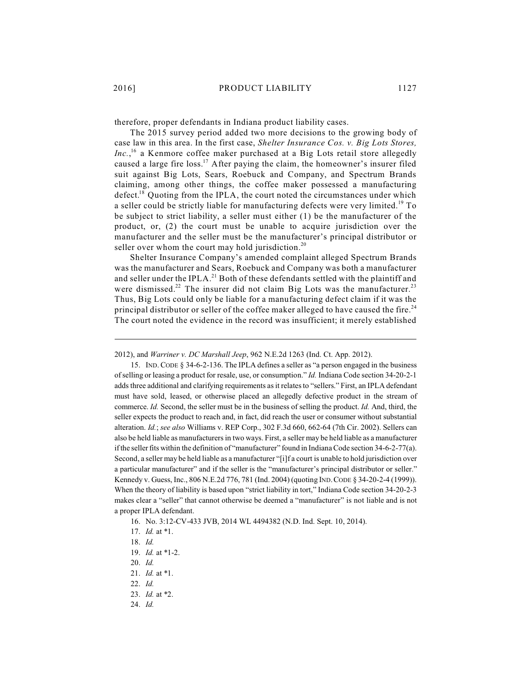therefore, proper defendants in Indiana product liability cases.

The 2015 survey period added two more decisions to the growing body of case law in this area. In the first case, *Shelter Insurance Cos. v. Big Lots Stores,*  $Inc.$ <sup>16</sup> a Kenmore coffee maker purchased at a Big Lots retail store allegedly caused a large fire loss.<sup>17</sup> After paying the claim, the homeowner's insurer filed suit against Big Lots, Sears, Roebuck and Company, and Spectrum Brands claiming, among other things, the coffee maker possessed a manufacturing defect.<sup>18</sup> Quoting from the IPLA, the court noted the circumstances under which a seller could be strictly liable for manufacturing defects were very limited.<sup>19</sup> To be subject to strict liability, a seller must either (1) be the manufacturer of the product, or, (2) the court must be unable to acquire jurisdiction over the manufacturer and the seller must be the manufacturer's principal distributor or seller over whom the court may hold jurisdiction.<sup>20</sup>

Shelter Insurance Company's amended complaint alleged Spectrum Brands was the manufacturer and Sears, Roebuck and Company was both a manufacturer and seller under the IPLA.<sup>21</sup> Both of these defendants settled with the plaintiff and were dismissed.<sup>22</sup> The insurer did not claim Big Lots was the manufacturer.<sup>23</sup> Thus, Big Lots could only be liable for a manufacturing defect claim if it was the principal distributor or seller of the coffee maker alleged to have caused the fire.<sup>24</sup> The court noted the evidence in the record was insufficient; it merely established

15. IND.CODE § 34-6-2-136. The IPLA defines a seller as "a person engaged in the business of selling or leasing a product for resale, use, or consumption." *Id.* Indiana Code section 34-20-2-1 adds three additional and clarifying requirements as it relates to "sellers." First, an IPLA defendant must have sold, leased, or otherwise placed an allegedly defective product in the stream of commerce. *Id.* Second, the seller must be in the business of selling the product. *Id.* And, third, the seller expects the product to reach and, in fact, did reach the user or consumer without substantial alteration. *Id.*; *see also* Williams v. REP Corp., 302 F.3d 660, 662-64 (7th Cir. 2002). Sellers can also be held liable as manufacturers in two ways. First, a seller may be held liable as a manufacturer if the seller fits within the definition of "manufacturer" found in Indiana Code section 34-6-2-77(a). Second, a seller may be held liable as a manufacturer "[i]f a court is unable to hold jurisdiction over a particular manufacturer" and if the seller is the "manufacturer's principal distributor or seller." Kennedy v. Guess, Inc., 806 N.E.2d 776, 781 (Ind. 2004) (quoting IND.CODE § 34-20-2-4 (1999)). When the theory of liability is based upon "strict liability in tort," Indiana Code section 34-20-2-3 makes clear a "seller" that cannot otherwise be deemed a "manufacturer" is not liable and is not a proper IPLA defendant.

<sup>2012),</sup> and *Warriner v. DC Marshall Jeep*, 962 N.E.2d 1263 (Ind. Ct. App. 2012).

<sup>16.</sup> No. 3:12-CV-433 JVB, 2014 WL 4494382 (N.D. Ind. Sept. 10, 2014).

<sup>17.</sup> *Id.* at \*1.

<sup>18.</sup> *Id.*

<sup>19.</sup> *Id.* at \*1-2.

<sup>20.</sup> *Id.*

<sup>21.</sup> *Id.* at \*1.

<sup>22.</sup> *Id.*

<sup>23.</sup> *Id.* at \*2.

<sup>24.</sup> *Id.*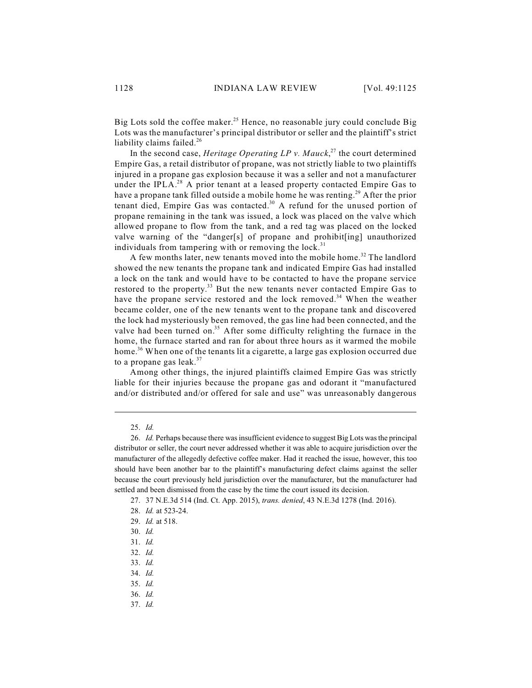Big Lots sold the coffee maker.<sup>25</sup> Hence, no reasonable jury could conclude Big Lots was the manufacturer's principal distributor or seller and the plaintiff's strict liability claims failed.<sup>26</sup>

In the second case, *Heritage Operating LP v. Mauck*<sup>27</sup> the court determined Empire Gas, a retail distributor of propane, was not strictly liable to two plaintiffs injured in a propane gas explosion because it was a seller and not a manufacturer under the IPLA. $^{28}$  A prior tenant at a leased property contacted Empire Gas to have a propane tank filled outside a mobile home he was renting.<sup>29</sup> After the prior tenant died, Empire Gas was contacted.<sup>30</sup> A refund for the unused portion of propane remaining in the tank was issued, a lock was placed on the valve which allowed propane to flow from the tank, and a red tag was placed on the locked valve warning of the "danger[s] of propane and prohibit[ing] unauthorized individuals from tampering with or removing the lock. $31$ 

A few months later, new tenants moved into the mobile home.<sup>32</sup> The landlord showed the new tenants the propane tank and indicated Empire Gas had installed a lock on the tank and would have to be contacted to have the propane service restored to the property.<sup>33</sup> But the new tenants never contacted Empire Gas to have the propane service restored and the lock removed.<sup>34</sup> When the weather became colder, one of the new tenants went to the propane tank and discovered the lock had mysteriously been removed, the gas line had been connected, and the valve had been turned on.<sup>35</sup> After some difficulty relighting the furnace in the home, the furnace started and ran for about three hours as it warmed the mobile home.<sup>36</sup> When one of the tenants lit a cigarette, a large gas explosion occurred due to a propane gas leak.<sup>37</sup>

Among other things, the injured plaintiffs claimed Empire Gas was strictly liable for their injuries because the propane gas and odorant it "manufactured and/or distributed and/or offered for sale and use" was unreasonably dangerous

26. *Id.* Perhaps because there was insufficient evidence to suggest Big Lots was the principal distributor or seller, the court never addressed whether it was able to acquire jurisdiction over the manufacturer of the allegedly defective coffee maker. Had it reached the issue, however, this too should have been another bar to the plaintiff's manufacturing defect claims against the seller because the court previously held jurisdiction over the manufacturer, but the manufacturer had settled and been dismissed from the case by the time the court issued its decision.

- 33. *Id.*
- 34. *Id.*
- 35. *Id.*
- 36. *Id.*
- 37. *Id.*

<sup>25.</sup> *Id.*

<sup>27.</sup> 37 N.E.3d 514 (Ind. Ct. App. 2015), *trans. denied*, 43 N.E.3d 1278 (Ind. 2016).

<sup>28.</sup> *Id.* at 523-24.

<sup>29.</sup> *Id.* at 518.

<sup>30.</sup> *Id.*

<sup>31.</sup> *Id.*

<sup>32.</sup> *Id.*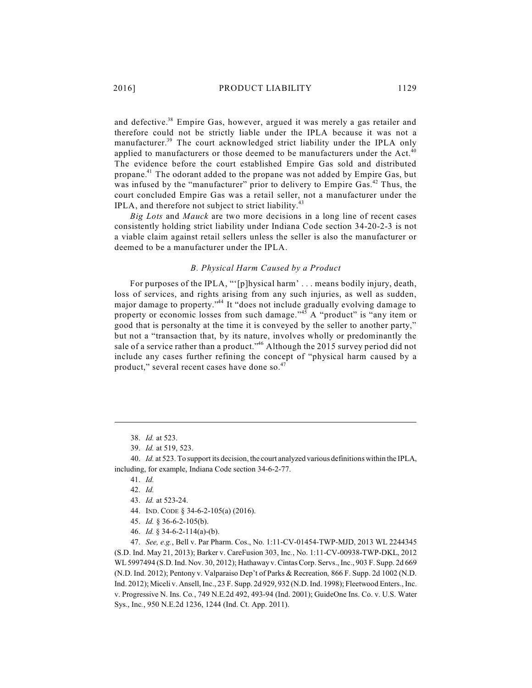and defective.<sup>38</sup> Empire Gas, however, argued it was merely a gas retailer and therefore could not be strictly liable under the IPLA because it was not a manufacturer.<sup>39</sup> The court acknowledged strict liability under the IPLA only applied to manufacturers or those deemed to be manufacturers under the Act.<sup>40</sup> The evidence before the court established Empire Gas sold and distributed propane.<sup>41</sup> The odorant added to the propane was not added by Empire Gas, but was infused by the "manufacturer" prior to delivery to Empire Gas. $42$  Thus, the court concluded Empire Gas was a retail seller, not a manufacturer under the IPLA, and therefore not subject to strict liability.<sup>43</sup>

*Big Lots* and *Mauck* are two more decisions in a long line of recent cases consistently holding strict liability under Indiana Code section 34-20-2-3 is not a viable claim against retail sellers unless the seller is also the manufacturer or deemed to be a manufacturer under the IPLA.

## *B. Physical Harm Caused by a Product*

For purposes of the IPLA, "'[p]hysical harm' . . . means bodily injury, death, loss of services, and rights arising from any such injuries, as well as sudden, major damage to property."<sup>44</sup> It "does not include gradually evolving damage to property or economic losses from such damage."<sup>45</sup> A "product" is "any item or good that is personalty at the time it is conveyed by the seller to another party," but not a "transaction that, by its nature, involves wholly or predominantly the sale of a service rather than a product."<sup>46</sup> Although the 2015 survey period did not include any cases further refining the concept of "physical harm caused by a product," several recent cases have done so.<sup>47</sup>

- 44. IND. CODE § 34-6-2-105(a) (2016).
- 45. *Id.* § 36-6-2-105(b).
- 46. *Id.* § 34-6-2-114(a)-(b).

47. *See, e.g.*, Bell v. Par Pharm. Cos., No. 1:11-CV-01454-TWP-MJD, 2013 WL 2244345 (S.D. Ind. May 21, 2013); Barker v. CareFusion 303, Inc*.*, No. 1:11-CV-00938-TWP-DKL, 2012 WL5997494 (S.D. Ind. Nov. 30, 2012); Hathaway v. Cintas Corp. Servs., Inc., 903 F. Supp. 2d 669 (N.D. Ind. 2012); Pentony v. Valparaiso Dep't of Parks & Recreation*,* 866 F. Supp. 2d 1002 (N.D. Ind. 2012); Miceli v. Ansell, Inc., 23 F. Supp. 2d 929, 932 (N.D. Ind. 1998); Fleetwood Enters., Inc. v. Progressive N. Ins. Co*.*, 749 N.E.2d 492, 493-94 (Ind. 2001); GuideOne Ins. Co. v. U.S. Water Sys., Inc*.*, 950 N.E.2d 1236, 1244 (Ind. Ct. App. 2011).

<sup>38.</sup> *Id.* at 523.

<sup>39.</sup> *Id.* at 519, 523.

<sup>40.</sup> *Id.* at 523. To support its decision, the court analyzed various definitions within the IPLA, including, for example, Indiana Code section 34-6-2-77.

<sup>41.</sup> *Id.*

<sup>42.</sup> *Id.*

<sup>43.</sup> *Id.* at 523-24.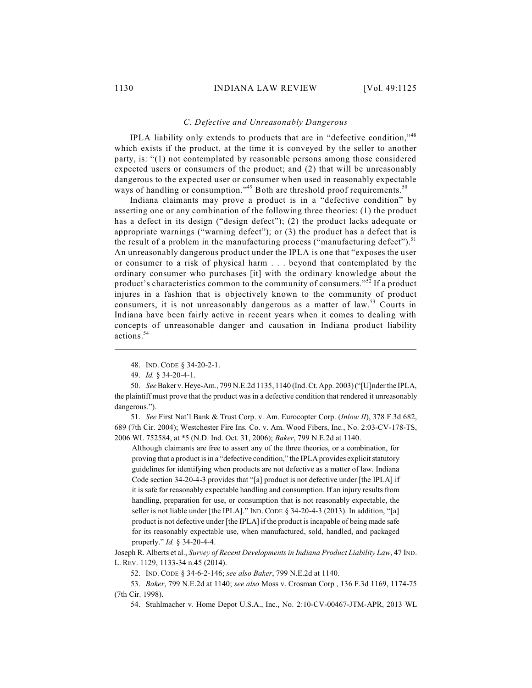#### *C. Defective and Unreasonably Dangerous*

IPLA liability only extends to products that are in "defective condition,"<sup>48</sup> which exists if the product, at the time it is conveyed by the seller to another party, is: "(1) not contemplated by reasonable persons among those considered expected users or consumers of the product; and (2) that will be unreasonably dangerous to the expected user or consumer when used in reasonably expectable ways of handling or consumption."<sup>49</sup> Both are threshold proof requirements.<sup>50</sup>

Indiana claimants may prove a product is in a "defective condition" by asserting one or any combination of the following three theories: (1) the product has a defect in its design ("design defect"); (2) the product lacks adequate or appropriate warnings ("warning defect"); or (3) the product has a defect that is the result of a problem in the manufacturing process ("manufacturing defect").<sup>51</sup> An unreasonably dangerous product under the IPLA is one that "exposes the user or consumer to a risk of physical harm . . . beyond that contemplated by the ordinary consumer who purchases [it] with the ordinary knowledge about the product's characteristics common to the community of consumers."<sup>52</sup> If a product injures in a fashion that is objectively known to the community of product consumers, it is not unreasonably dangerous as a matter of law.<sup>53</sup> Courts in Indiana have been fairly active in recent years when it comes to dealing with concepts of unreasonable danger and causation in Indiana product liability actions. 54

51. *See* First Nat'l Bank & Trust Corp. v. Am. Eurocopter Corp. (*Inlow II*), 378 F.3d 682, 689 (7th Cir. 2004); Westchester Fire Ins. Co. v. Am. Wood Fibers, Inc*.*, No. 2:03-CV-178-TS, 2006 WL 752584, at \*5 (N.D. Ind. Oct. 31, 2006); *Baker*, 799 N.E.2d at 1140.

Although claimants are free to assert any of the three theories, or a combination, for proving that a product is in a "defective condition," the IPLA provides explicit statutory guidelines for identifying when products are not defective as a matter of law. Indiana Code section 34-20-4-3 provides that "[a] product is not defective under [the IPLA] if it is safe for reasonably expectable handling and consumption. If an injury results from handling, preparation for use, or consumption that is not reasonably expectable, the seller is not liable under [the IPLA]." IND. CODE § 34-20-4-3 (2013). In addition, "[a] product is not defective under [the IPLA] if the product is incapable of being made safe for its reasonably expectable use, when manufactured, sold, handled, and packaged properly." *Id.* § 34-20-4-4.

Joseph R. Alberts et al., *Survey of Recent Developments in Indiana Product Liability Law*, 47 IND. L. REV. 1129, 1133-34 n.45 (2014).

52. IND. CODE § 34-6-2-146; *see also Baker*, 799 N.E.2d at 1140.

53. *Baker*, 799 N.E.2d at 1140; *see also* Moss v. Crosman Corp*.*, 136 F.3d 1169, 1174-75 (7th Cir. 1998).

54. Stuhlmacher v. Home Depot U.S.A., Inc., No. 2:10-CV-00467-JTM-APR, 2013 WL

<sup>48.</sup> IND. CODE § 34-20-2-1.

<sup>49.</sup> *Id.* § 34-20-4-1.

<sup>50.</sup> *See*Baker v. Heye-Am., 799 N.E.2d 1135, 1140 (Ind. Ct. App. 2003)("[U]nder the IPLA, the plaintiff must prove that the product was in a defective condition that rendered it unreasonably dangerous.").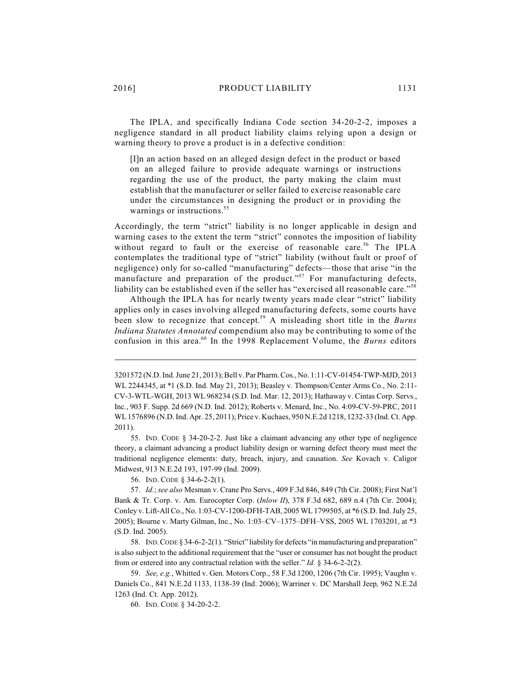The IPLA, and specifically Indiana Code section 34-20-2-2, imposes a negligence standard in all product liability claims relying upon a design or warning theory to prove a product is in a defective condition:

[I]n an action based on an alleged design defect in the product or based on an alleged failure to provide adequate warnings or instructions regarding the use of the product, the party making the claim must establish that the manufacturer or seller failed to exercise reasonable care under the circumstances in designing the product or in providing the warnings or instructions.<sup>55</sup>

Accordingly, the term "strict" liability is no longer applicable in design and warning cases to the extent the term "strict" connotes the imposition of liability without regard to fault or the exercise of reasonable care.<sup>56</sup> The IPLA contemplates the traditional type of "strict" liability (without fault or proof of negligence) only for so-called "manufacturing" defects—those that arise "in the manufacture and preparation of the product."<sup>57</sup> For manufacturing defects, liability can be established even if the seller has "exercised all reasonable care."<sup>58</sup>

Although the IPLA has for nearly twenty years made clear "strict" liability applies only in cases involving alleged manufacturing defects, some courts have been slow to recognize that concept.<sup>59</sup> A misleading short title in the *Burns Indiana Statutes Annotated* compendium also may be contributing to some of the confusion in this area.<sup>60</sup> In the 1998 Replacement Volume, the *Burns* editors

56. IND. CODE § 34-6-2-2(1).

57. *Id.*; *see also* Mesman v. Crane Pro Servs., 409 F.3d 846, 849 (7th Cir. 2008); First Nat'l Bank & Tr. Corp. v. Am. Eurocopter Corp. (*Inlow II*), 378 F.3d 682, 689 n.4 (7th Cir. 2004); Conley v. Lift-All Co., No. 1:03-CV-1200-DFH-TAB, 2005 WL1799505, at \*6 (S.D. Ind. July 25, 2005); Bourne v. Marty Gilman, Inc., No. 1:03–CV–1375–DFH–VSS, 2005 WL 1703201, at \*3 (S.D. Ind. 2005).

58. IND.CODE § 34-6-2-2(1). "Strict" liability for defects "in manufacturing and preparation" is also subject to the additional requirement that the "user or consumer has not bought the product from or entered into any contractual relation with the seller." *Id.* § 34-6-2-2(2).

59. *See, e.g.*, Whitted v. Gen. Motors Corp., 58 F.3d 1200, 1206 (7th Cir. 1995); Vaughn v. Daniels Co., 841 N.E.2d 1133, 1138-39 (Ind. 2006); Warriner v. DC Marshall Jeep*,* 962 N.E.2d 1263 (Ind. Ct. App. 2012).

60. IND. CODE § 34-20-2-2.

<sup>3201572 (</sup>N.D. Ind. June 21, 2013); Bell v. Par Pharm. Cos., No. 1:11-CV-01454-TWP-MJD, 2013 WL 2244345, at \*1 (S.D. Ind. May 21, 2013); Beasley v. Thompson/Center Arms Co., No. 2:11- CV-3-WTL-WGH, 2013 WL 968234 (S.D. Ind. Mar. 12, 2013); Hathaway v. Cintas Corp. Servs., Inc*.*, 903 F. Supp. 2d 669 (N.D. Ind. 2012); Roberts v. Menard, Inc., No. 4:09-CV-59-PRC, 2011 WL1576896 (N.D. Ind. Apr. 25, 2011); Price v. Kuchaes, 950 N.E.2d 1218, 1232-33 (Ind. Ct. App. 2011).

<sup>55.</sup> IND. CODE § 34-20-2-2. Just like a claimant advancing any other type of negligence theory, a claimant advancing a product liability design or warning defect theory must meet the traditional negligence elements: duty, breach, injury, and causation. *See* Kovach v. Caligor Midwest, 913 N.E.2d 193, 197-99 (Ind. 2009).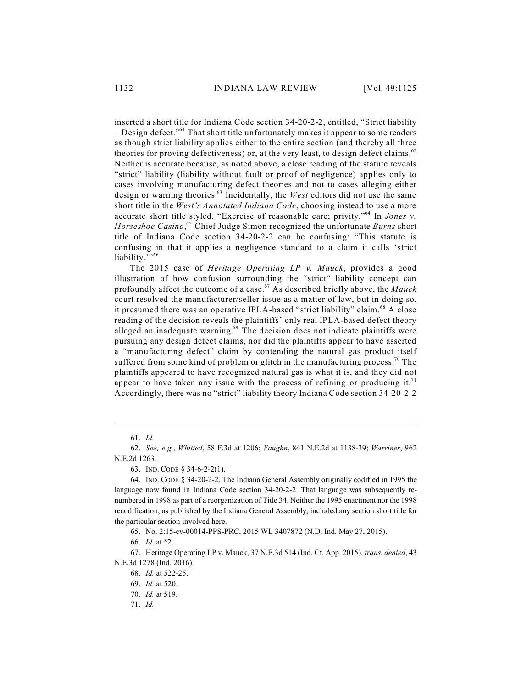inserted a short title for Indiana Code section 34-20-2-2, entitled, "Strict liability - Design defect."<sup>61</sup> That short title unfortunately makes it appear to some readers as though strict liability applies either to the entire section (and thereby all three theories for proving defectiveness) or, at the very least, to design defect claims.<sup>62</sup> Neither is accurate because, as noted above, a close reading of the statute reveals "strict" liability (liability without fault or proof of negligence) applies only to cases involving manufacturing defect theories and not to cases alleging either design or warning theories.<sup>63</sup> Incidentally, the West editors did not use the same short title in the *West's Annotated Indiana Code*, choosing instead to use a more accurate short title styled, "Exercise of reasonable care; privity."<sup>64</sup> In *Jones v*. Horseshoe Casino,<sup>65</sup> Chief Judge Simon recognized the unfortunate Burns short title of Indiana Code section 34-20-2-2 can be confusing: "This statute is confusing in that it applies a negligence standard to a claim it calls 'strict liability.'"<sup>66</sup>

The 2015 case of *Heritage Operating LP v. Mauck*, provides a good illustration of how confusion surrounding the "strict" liability concept can profoundly affect the outcome of a case.<sup>67</sup> As described briefly above, the *Mauck* court resolved the manufacturer/seller issue as a matter of law, but in doing so, it presumed there was an operative IPLA-based "strict liability" claim.<sup>68</sup> A close reading of the decision reveals the plaintiffs' only real IPLA-based defect theory alleged an inadequate warning.<sup>69</sup> The decision does not indicate plaintiffs were pursuing any design defect claims, nor did the plaintiffs appear to have asserted a "manufacturing defect" claim by contending the natural gas product itself suffered from some kind of problem or glitch in the manufacturing process.<sup>70</sup> The plaintiffs appeared to have recognized natural gas is what it is, and they did not appear to have taken any issue with the process of refining or producing it.<sup>71</sup> Accordingly, there was no "strict" liability theory Indiana Code section 34-20-2-2

65. No. 2:15-cv-00014-PPS-PRC, 2015 WL 3407872 (N.D. Ind. May 27, 2015).

66. *Id.* at \*2.

67. Heritage Operating LP v. Mauck, 37 N.E.3d 514 (Ind. Ct. App. 2015), *trans. denied*, 43 N.E.3d 1278 (Ind. 2016).

68. *Id.* at 522-25.

71. *Id.*

<sup>61.</sup> *Id.*

<sup>62.</sup> *See, e.g.*, *Whitted*, 58 F.3d at 1206; *Vaughn*, 841 N.E.2d at 1138-39; *Warriner*, 962 N.E.2d 1263.

<sup>63.</sup> IND. CODE § 34-6-2-2(1).

<sup>64.</sup> IND. CODE § 34-20-2-2. The Indiana General Assembly originally codified in 1995 the language now found in Indiana Code section 34-20-2-2. That language was subsequently renumbered in 1998 as part of a reorganization of Title 34. Neither the 1995 enactment nor the 1998 recodification, as published by the Indiana General Assembly, included any section short title for the particular section involved here.

<sup>69.</sup> *Id.* at 520.

<sup>70.</sup> *Id.* at 519.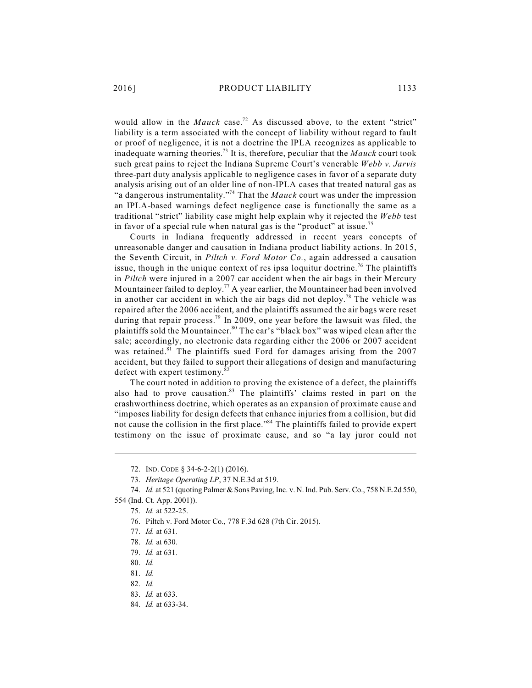would allow in the *Mauck* case.<sup>72</sup> As discussed above, to the extent "strict" liability is a term associated with the concept of liability without regard to fault or proof of negligence, it is not a doctrine the IPLA recognizes as applicable to inadequate warning theories.<sup>73</sup> It is, therefore, peculiar that the  $Mauck$  court took such great pains to reject the Indiana Supreme Court's venerable *Webb v. Jarvis* three-part duty analysis applicable to negligence cases in favor of a separate duty analysis arising out of an older line of non-IPLA cases that treated natural gas as "a dangerous instrumentality."<sup>74</sup> That the *Mauck* court was under the impression an IPLA-based warnings defect negligence case is functionally the same as a traditional "strict" liability case might help explain why it rejected the *Webb* test in favor of a special rule when natural gas is the "product" at issue.<sup>75</sup>

Courts in Indiana frequently addressed in recent years concepts of unreasonable danger and causation in Indiana product liability actions. In 2015, the Seventh Circuit, in *Piltch v. Ford Motor Co.*, again addressed a causation issue, though in the unique context of res ipsa loquitur doctrine.<sup>76</sup> The plaintiffs in *Piltch* were injured in a 2007 car accident when the air bags in their Mercury Mountaineer failed to deploy.<sup>77</sup> A year earlier, the Mountaineer had been involved in another car accident in which the air bags did not deploy.<sup>78</sup> The vehicle was repaired after the 2006 accident, and the plaintiffs assumed the air bags were reset during that repair process.<sup>79</sup> In 2009, one year before the lawsuit was filed, the plaintiffs sold the Mountaineer.<sup>80</sup> The car's "black box" was wiped clean after the sale; accordingly, no electronic data regarding either the 2006 or 2007 accident was retained.<sup>81</sup> The plaintiffs sued Ford for damages arising from the 2007 accident, but they failed to support their allegations of design and manufacturing defect with expert testimony.<sup>82</sup>

The court noted in addition to proving the existence of a defect, the plaintiffs also had to prove causation. $83$  The plaintiffs' claims rested in part on the crashworthiness doctrine, which operates as an expansion of proximate cause and "imposes liability for design defects that enhance injuries from a collision, but did not cause the collision in the first place."<sup>84</sup> The plaintiffs failed to provide expert testimony on the issue of proximate cause, and so "a lay juror could not

<sup>72.</sup> IND. CODE § 34-6-2-2(1) (2016).

<sup>73.</sup> *Heritage Operating LP*, 37 N.E.3d at 519.

<sup>74.</sup> *Id.* at 521 (quoting Palmer & Sons Paving, Inc. v. N. Ind. Pub. Serv. Co., 758 N.E.2d 550, 554 (Ind. Ct. App. 2001)).

<sup>75.</sup> *Id.* at 522-25.

<sup>76.</sup> Piltch v. Ford Motor Co., 778 F.3d 628 (7th Cir. 2015).

<sup>77.</sup> *Id.* at 631.

<sup>78.</sup> *Id.* at 630.

<sup>79.</sup> *Id.* at 631.

<sup>80.</sup> *Id.*

<sup>81.</sup> *Id.*

<sup>82.</sup> *Id.*

<sup>83.</sup> *Id.* at 633.

<sup>84.</sup> *Id.* at 633-34.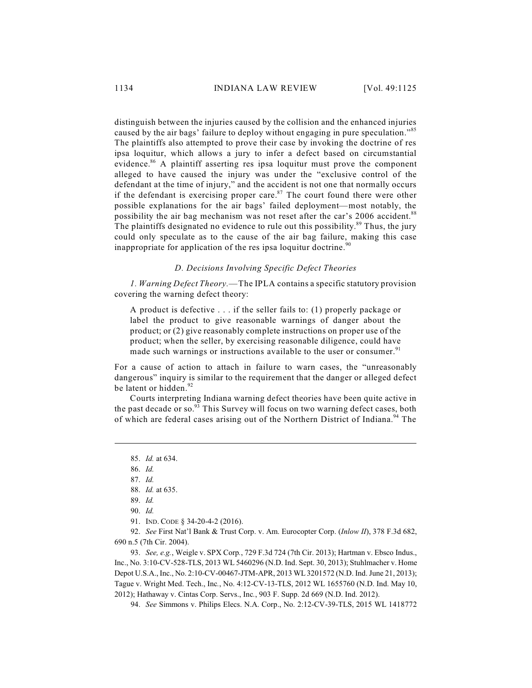distinguish between the injuries caused by the collision and the enhanced injuries caused by the air bags' failure to deploy without engaging in pure speculation."<sup>85</sup> The plaintiffs also attempted to prove their case by invoking the doctrine of res ipsa loquitur, which allows a jury to infer a defect based on circumstantial evidence. $86$  A plaintiff asserting res ipsa loquitur must prove the component alleged to have caused the injury was under the "exclusive control of the defendant at the time of injury," and the accident is not one that normally occurs if the defendant is exercising proper care. $87$  The court found there were other possible explanations for the air bags' failed deployment—most notably, the possibility the air bag mechanism was not reset after the car's 2006 accident.<sup>88</sup> The plaintiffs designated no evidence to rule out this possibility.<sup>89</sup> Thus, the jury could only speculate as to the cause of the air bag failure, making this case inappropriate for application of the res ipsa loquitur doctrine.<sup>90</sup>

# *D. Decisions Involving Specific Defect Theories*

*1. Warning Defect Theory.*—The IPLA contains a specific statutory provision covering the warning defect theory:

A product is defective . . . if the seller fails to: (1) properly package or label the product to give reasonable warnings of danger about the product; or (2) give reasonably complete instructions on proper use of the product; when the seller, by exercising reasonable diligence, could have made such warnings or instructions available to the user or consumer.<sup>91</sup>

For a cause of action to attach in failure to warn cases, the "unreasonably dangerous" inquiry is similar to the requirement that the danger or alleged defect be latent or hidden.<sup>92</sup>

Courts interpreting Indiana warning defect theories have been quite active in the past decade or so.<sup>93</sup> This Survey will focus on two warning defect cases, both of which are federal cases arising out of the Northern District of Indiana.<sup>94</sup> The

91. IND. CODE § 34-20-4-2 (2016).

92. *See* First Nat'l Bank & Trust Corp. v. Am. Eurocopter Corp. (*Inlow II*), 378 F.3d 682, 690 n.5 (7th Cir. 2004).

93. *See, e.g.*, Weigle v. SPX Corp*.*, 729 F.3d 724 (7th Cir. 2013); Hartman v. Ebsco Indus., Inc., No. 3:10-CV-528-TLS, 2013 WL 5460296 (N.D. Ind. Sept. 30, 2013); Stuhlmacher v. Home Depot U.S.A., Inc., No. 2:10-CV-00467-JTM-APR, 2013 WL3201572 (N.D. Ind. June 21, 2013); Tague v. Wright Med. Tech., Inc*.*, No. 4:12-CV-13-TLS, 2012 WL 1655760 (N.D. Ind. May 10, 2012); Hathaway v. Cintas Corp. Servs., Inc*.*, 903 F. Supp. 2d 669 (N.D. Ind. 2012).

94. *See* Simmons v. Philips Elecs. N.A. Corp., No. 2:12-CV-39-TLS, 2015 WL 1418772

<sup>85.</sup> *Id.* at 634.

<sup>86.</sup> *Id.*

<sup>87.</sup> *Id.*

<sup>88.</sup> *Id.* at 635.

<sup>89.</sup> *Id.*

<sup>90.</sup> *Id.*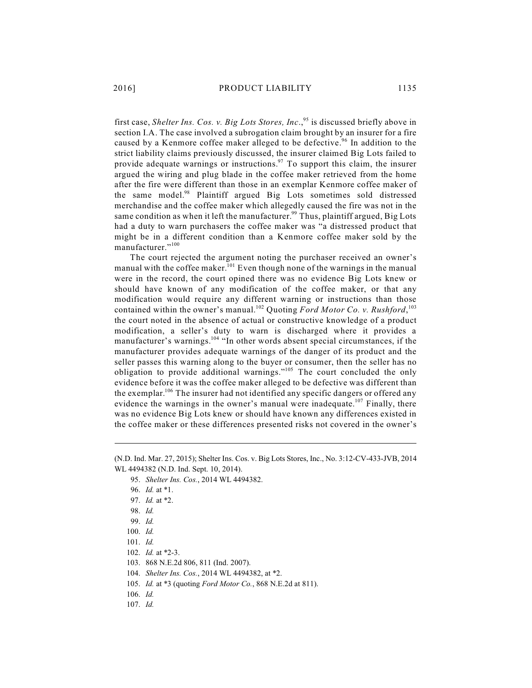first case, *Shelter Ins. Cos. v. Big Lots Stores, Inc.*,<sup>95</sup> is discussed briefly above in section I.A. The case involved a subrogation claim brought by an insurer for a fire caused by a Kenmore coffee maker alleged to be defective.<sup>96</sup> In addition to the strict liability claims previously discussed, the insurer claimed Big Lots failed to provide adequate warnings or instructions.<sup>97</sup> To support this claim, the insurer argued the wiring and plug blade in the coffee maker retrieved from the home after the fire were different than those in an exemplar Kenmore coffee maker of the same model.<sup>98</sup> Plaintiff argued Big Lots sometimes sold distressed merchandise and the coffee maker which allegedly caused the fire was not in the same condition as when it left the manufacturer.<sup>99</sup> Thus, plaintiff argued, Big Lots had a duty to warn purchasers the coffee maker was "a distressed product that might be in a different condition than a Kenmore coffee maker sold by the manufacturer."<sup>100</sup>

The court rejected the argument noting the purchaser received an owner's manual with the coffee maker.<sup>101</sup> Even though none of the warnings in the manual were in the record, the court opined there was no evidence Big Lots knew or should have known of any modification of the coffee maker, or that any modification would require any different warning or instructions than those contained within the owner's manual.<sup>102</sup> Quoting *Ford Motor Co. v. Rushford*,<sup>103</sup> the court noted in the absence of actual or constructive knowledge of a product modification, a seller's duty to warn is discharged where it provides a manufacturer's warnings.<sup>104</sup> "In other words absent special circumstances, if the manufacturer provides adequate warnings of the danger of its product and the seller passes this warning along to the buyer or consumer, then the seller has no obligation to provide additional warnings." $105$  The court concluded the only evidence before it was the coffee maker alleged to be defective was different than the exemplar.<sup>106</sup> The insurer had not identified any specific dangers or offered any evidence the warnings in the owner's manual were inadequate.<sup>107</sup> Finally, there was no evidence Big Lots knew or should have known any differences existed in the coffee maker or these differences presented risks not covered in the owner's

<sup>(</sup>N.D. Ind. Mar. 27, 2015); Shelter Ins. Cos. v. Big Lots Stores, Inc., No. 3:12-CV-433-JVB, 2014 WL 4494382 (N.D. Ind. Sept. 10, 2014).

<sup>95.</sup> *Shelter Ins. Cos.*, 2014 WL 4494382.

<sup>96.</sup> *Id.* at \*1.

<sup>97.</sup> *Id.* at \*2.

<sup>98.</sup> *Id.*

<sup>99.</sup> *Id.* 

<sup>100.</sup> *Id.*

<sup>101.</sup> *Id.*

<sup>102.</sup> *Id.* at \*2-3.

<sup>103.</sup> 868 N.E.2d 806, 811 (Ind. 2007).

<sup>104.</sup> *Shelter Ins. Cos.*, 2014 WL 4494382, at \*2.

<sup>105.</sup> *Id.* at \*3 (quoting *Ford Motor Co.*, 868 N.E.2d at 811).

<sup>106.</sup> *Id.*

<sup>107.</sup> *Id.*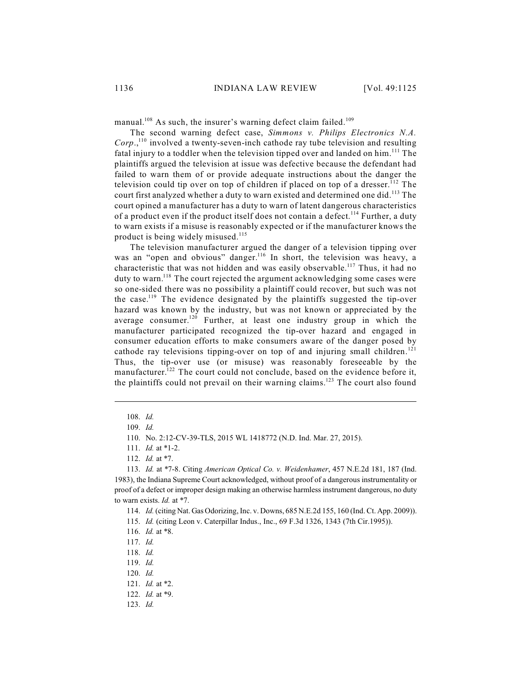manual.<sup>108</sup> As such, the insurer's warning defect claim failed.<sup>109</sup>

The second warning defect case, *Simmons v. Philips Electronics N.A.*  $Corp$ <sup>110</sup> involved a twenty-seven-inch cathode ray tube television and resulting fatal injury to a toddler when the television tipped over and landed on him.<sup>111</sup> The plaintiffs argued the television at issue was defective because the defendant had failed to warn them of or provide adequate instructions about the danger the television could tip over on top of children if placed on top of a dresser.<sup>112</sup> The court first analyzed whether a duty to warn existed and determined one did.<sup>113</sup> The court opined a manufacturer has a duty to warn of latent dangerous characteristics of a product even if the product itself does not contain a defect.<sup>114</sup> Further, a duty to warn exists if a misuse is reasonably expected or if the manufacturer knows the product is being widely misused.<sup>115</sup>

The television manufacturer argued the danger of a television tipping over was an "open and obvious" danger.<sup>116</sup> In short, the television was heavy, a characteristic that was not hidden and was easily observable.<sup>117</sup> Thus, it had no duty to warn.<sup>118</sup> The court rejected the argument acknowledging some cases were so one-sided there was no possibility a plaintiff could recover, but such was not the case.<sup>119</sup> The evidence designated by the plaintiffs suggested the tip-over hazard was known by the industry, but was not known or appreciated by the average consumer.<sup>120</sup> Further, at least one industry group in which the manufacturer participated recognized the tip-over hazard and engaged in consumer education efforts to make consumers aware of the danger posed by cathode ray televisions tipping-over on top of and injuring small children.<sup>121</sup> Thus, the tip-over use (or misuse) was reasonably foreseeable by the manufacturer.<sup>122</sup> The court could not conclude, based on the evidence before it, the plaintiffs could not prevail on their warning claims.<sup>123</sup> The court also found

119. *Id.*

121. *Id.* at \*2.

123. *Id.*

<sup>108.</sup> *Id.*

<sup>109.</sup> *Id.*

<sup>110.</sup> No. 2:12-CV-39-TLS, 2015 WL 1418772 (N.D. Ind. Mar. 27, 2015).

<sup>111.</sup> *Id.* at \*1-2.

<sup>112.</sup> *Id.* at \*7.

<sup>113.</sup> *Id.* at \*7-8. Citing *American Optical Co. v. Weidenhamer*, 457 N.E.2d 181, 187 (Ind. 1983), the Indiana Supreme Court acknowledged, without proof of a dangerous instrumentality or proof of a defect or improper design making an otherwise harmless instrument dangerous, no duty to warn exists. *Id.* at \*7.

<sup>114.</sup> *Id.* (citing Nat. Gas Odorizing, Inc. v. Downs, 685 N.E.2d 155, 160 (Ind. Ct. App. 2009)).

<sup>115.</sup> *Id.* (citing Leon v. Caterpillar Indus., Inc., 69 F.3d 1326, 1343 (7th Cir.1995)).

<sup>116.</sup> *Id.* at \*8.

<sup>117.</sup> *Id.*

<sup>118.</sup> *Id.*

<sup>120.</sup> *Id.*

<sup>122.</sup> *Id.* at \*9.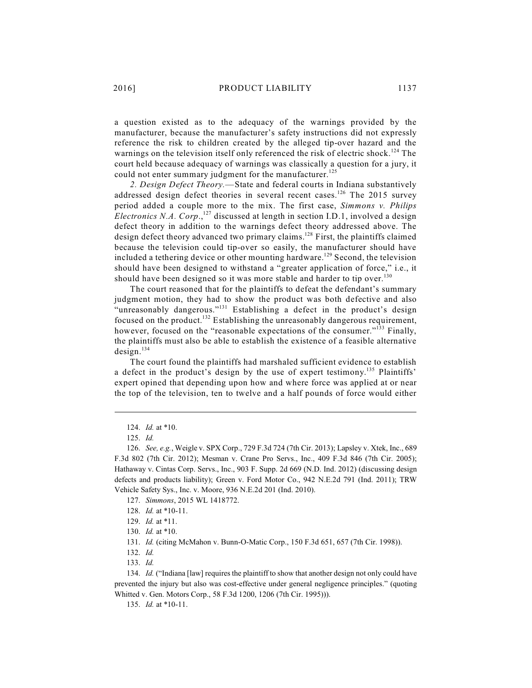a question existed as to the adequacy of the warnings provided by the manufacturer, because the manufacturer's safety instructions did not expressly reference the risk to children created by the alleged tip-over hazard and the warnings on the television itself only referenced the risk of electric shock.<sup>124</sup> The court held because adequacy of warnings was classically a question for a jury, it could not enter summary judgment for the manufacturer.<sup>125</sup>

*2. Design Defect Theory.*—State and federal courts in Indiana substantively addressed design defect theories in several recent cases.<sup>126</sup> The 2015 survey period added a couple more to the mix. The first case, *Simmons v. Philips* Electronics N.A. Corp.,<sup>127</sup> discussed at length in section I.D.1, involved a design defect theory in addition to the warnings defect theory addressed above. The design defect theory advanced two primary claims.<sup>128</sup> First, the plaintiffs claimed because the television could tip-over so easily, the manufacturer should have included a tethering device or other mounting hardware.<sup>129</sup> Second, the television should have been designed to withstand a "greater application of force," i.e., it should have been designed so it was more stable and harder to tip over.<sup>130</sup>

The court reasoned that for the plaintiffs to defeat the defendant's summary judgment motion, they had to show the product was both defective and also "unreasonably dangerous."<sup>131</sup> Establishing a defect in the product's design focused on the product.<sup>132</sup> Establishing the unreasonably dangerous requirement, however, focused on the "reasonable expectations of the consumer."<sup>133</sup> Finally, the plaintiffs must also be able to establish the existence of a feasible alternative design. 134

The court found the plaintiffs had marshaled sufficient evidence to establish a defect in the product's design by the use of expert testimony.<sup>135</sup> Plaintiffs' expert opined that depending upon how and where force was applied at or near the top of the television, ten to twelve and a half pounds of force would either

127. *Simmons*, 2015 WL 1418772.

130. *Id.* at \*10.

131. *Id.* (citing McMahon v. Bunn-O-Matic Corp., 150 F.3d 651, 657 (7th Cir. 1998)).

132. *Id.*

133. *Id.*

134. *Id.* ("Indiana [law] requires the plaintiff to show that another design not only could have prevented the injury but also was cost-effective under general negligence principles." (quoting Whitted v. Gen. Motors Corp., 58 F.3d 1200, 1206 (7th Cir. 1995))).

135. *Id.* at \*10-11.

<sup>124.</sup> *Id.* at \*10.

<sup>125.</sup> *Id.*

<sup>126.</sup> *See, e.g.*, Weigle v. SPX Corp., 729 F.3d 724 (7th Cir. 2013); Lapsley v. Xtek, Inc., 689 F.3d 802 (7th Cir. 2012); Mesman v. Crane Pro Servs., Inc., 409 F.3d 846 (7th Cir. 2005); Hathaway v. Cintas Corp. Servs., Inc., 903 F. Supp. 2d 669 (N.D. Ind. 2012) (discussing design defects and products liability); Green v. Ford Motor Co., 942 N.E.2d 791 (Ind. 2011); TRW Vehicle Safety Sys., Inc. v. Moore, 936 N.E.2d 201 (Ind. 2010).

<sup>128.</sup> *Id.* at \*10-11.

<sup>129.</sup> *Id.* at \*11.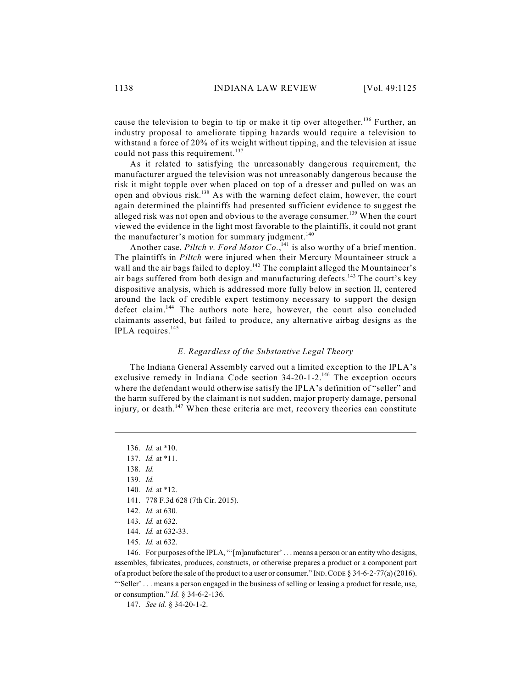cause the television to begin to tip or make it tip over altogether.<sup>136</sup> Further, an industry proposal to ameliorate tipping hazards would require a television to withstand a force of 20% of its weight without tipping, and the television at issue could not pass this requirement.<sup>137</sup>

As it related to satisfying the unreasonably dangerous requirement, the manufacturer argued the television was not unreasonably dangerous because the risk it might topple over when placed on top of a dresser and pulled on was an open and obvious risk. $^{138}$  As with the warning defect claim, however, the court again determined the plaintiffs had presented sufficient evidence to suggest the alleged risk was not open and obvious to the average consumer.<sup>139</sup> When the court viewed the evidence in the light most favorable to the plaintiffs, it could not grant the manufacturer's motion for summary judgment.<sup>140</sup>

Another case, Piltch *v. Ford Motor* Co.,<sup>141</sup> is also worthy of a brief mention. The plaintiffs in *Piltch* were injured when their Mercury Mountaineer struck a wall and the air bags failed to deploy.<sup>142</sup> The complaint alleged the Mountaineer's air bags suffered from both design and manufacturing defects.<sup>143</sup> The court's key dispositive analysis, which is addressed more fully below in section II, centered around the lack of credible expert testimony necessary to support the design defect claim.<sup>144</sup> The authors note here, however, the court also concluded claimants asserted, but failed to produce, any alternative airbag designs as the IPLA requires.<sup>145</sup>

## *E. Regardless of the Substantive Legal Theory*

The Indiana General Assembly carved out a limited exception to the IPLA's exclusive remedy in Indiana Code section 34-20-1-2.<sup>146</sup> The exception occurs where the defendant would otherwise satisfy the IPLA's definition of "seller" and the harm suffered by the claimant is not sudden, major property damage, personal injury, or death.<sup>147</sup> When these criteria are met, recovery theories can constitute

147. *See id.* § 34-20-1-2.

<sup>136.</sup> *Id.* at \*10.

<sup>137.</sup> *Id.* at \*11.

<sup>138.</sup> *Id.*

<sup>139.</sup> *Id.*

<sup>140.</sup> *Id.* at \*12.

<sup>141.</sup> 778 F.3d 628 (7th Cir. 2015).

<sup>142.</sup> *Id.* at 630.

<sup>143.</sup> *Id.* at 632.

<sup>144.</sup> *Id.* at 632-33.

<sup>145.</sup> *Id.* at 632.

<sup>146.</sup> For purposes of the IPLA, "'[m]anufacturer' . . . means a person or an entity who designs, assembles, fabricates, produces, constructs, or otherwise prepares a product or a component part of a product before the sale of the product to a user or consumer." IND.CODE § 34-6-2-77(a) (2016). "'Seller' . . . means a person engaged in the business of selling or leasing a product for resale, use, or consumption." *Id.* § 34-6-2-136.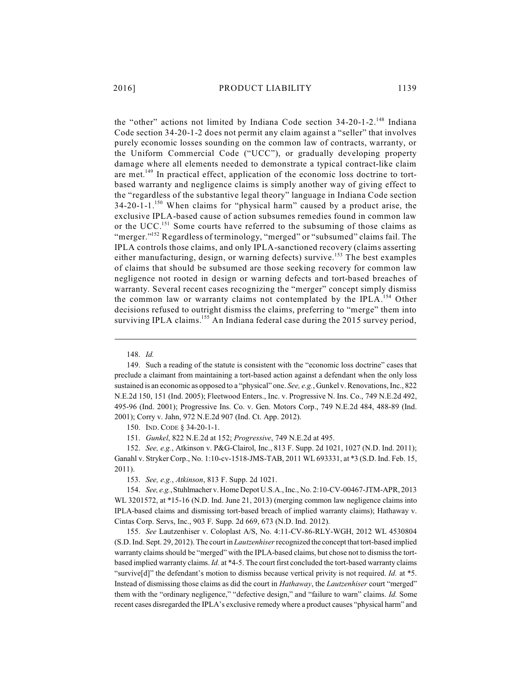the "other" actions not limited by Indiana Code section 34-20-1-2.<sup>148</sup> Indiana Code section 34-20-1-2 does not permit any claim against a "seller" that involves purely economic losses sounding on the common law of contracts, warranty, or the Uniform Commercial Code ("UCC"), or gradually developing property damage where all elements needed to demonstrate a typical contract-like claim are met.<sup>149</sup> In practical effect, application of the economic loss doctrine to tortbased warranty and negligence claims is simply another way of giving effect to the "regardless of the substantive legal theory" language in Indiana Code section 34-20-1-1. $^{150}$  When claims for "physical harm" caused by a product arise, the exclusive IPLA-based cause of action subsumes remedies found in common law or the UCC.<sup>151</sup> Some courts have referred to the subsuming of those claims as "merger."<sup>152</sup> Regardless of terminology, "merged" or "subsumed" claims fail. The IPLA controls those claims, and only IPLA-sanctioned recovery (claims asserting either manufacturing, design, or warning defects) survive.<sup>153</sup> The best examples of claims that should be subsumed are those seeking recovery for common law negligence not rooted in design or warning defects and tort-based breaches of warranty. Several recent cases recognizing the "merger" concept simply dismiss the common law or warranty claims not contemplated by the IPLA.<sup>154</sup> Other

148. *Id.*

149. Such a reading of the statute is consistent with the "economic loss doctrine" cases that preclude a claimant from maintaining a tort-based action against a defendant when the only loss sustained is an economic as opposed to a "physical" one. *See, e.g.*, Gunkel v. Renovations, Inc., 822 N.E.2d 150, 151 (Ind. 2005); Fleetwood Enters., Inc. v. Progressive N. Ins. Co., 749 N.E.2d 492, 495-96 (Ind. 2001); Progressive Ins. Co. v. Gen. Motors Corp., 749 N.E.2d 484, 488-89 (Ind. 2001); Corry v. Jahn, 972 N.E.2d 907 (Ind. Ct. App. 2012).

decisions refused to outright dismiss the claims, preferring to "merge" them into surviving IPLA claims.<sup>155</sup> An Indiana federal case during the 2015 survey period,

150. IND. CODE § 34-20-1-1.

151. *Gunkel*, 822 N.E.2d at 152; *Progressive*, 749 N.E.2d at 495.

152. *See, e.g.*, Atkinson v. P&G-Clairol, Inc., 813 F. Supp. 2d 1021, 1027 (N.D. Ind. 2011); Ganahl v. Stryker Corp., No. 1:10-cv-1518-JMS-TAB, 2011 WL 693331, at \*3 (S.D. Ind. Feb. 15, 2011).

153. *See, e.g.*, *Atkinson*, 813 F. Supp. 2d 1021.

154. *See, e.g.*, Stuhlmacher v. Home Depot U.S.A., Inc., No. 2:10-CV-00467-JTM-APR, 2013 WL 3201572, at \*15-16 (N.D. Ind. June 21, 2013) (merging common law negligence claims into IPLA-based claims and dismissing tort-based breach of implied warranty claims); Hathaway v. Cintas Corp. Servs, Inc., 903 F. Supp. 2d 669, 673 (N.D. Ind. 2012).

155. *See* Lautzenhiser v. Coloplast A/S, No. 4:11-CV-86-RLY-WGH, 2012 WL 4530804 (S.D. Ind. Sept. 29, 2012). The court in *Lautzenhiser*recognized the concept that tort-based implied warranty claims should be "merged" with the IPLA-based claims, but chose not to dismiss the tortbased implied warranty claims. *Id.* at \*4-5. The court first concluded the tort-based warranty claims "survive[d]" the defendant's motion to dismiss because vertical privity is not required. *Id.* at \*5. Instead of dismissing those claims as did the court in *Hathaway*, the *Lautzenhiser* court "merged" them with the "ordinary negligence," "defective design," and "failure to warn" claims. *Id.* Some recent cases disregarded the IPLA's exclusive remedy where a product causes "physical harm" and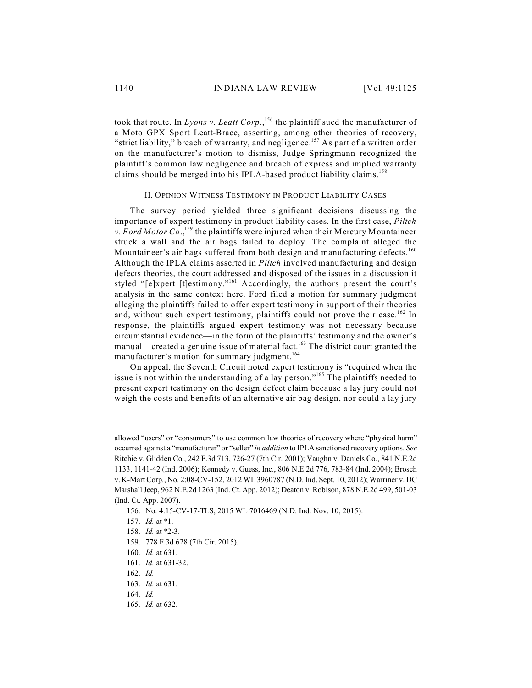took that route. In *Lyons v. Leatt Corp*.,<sup>156</sup> the plaintiff sued the manufacturer of a Moto GPX Sport Leatt-Brace, asserting, among other theories of recovery, "strict liability," breach of warranty, and negligence.<sup>157</sup> As part of a written order on the manufacturer's motion to dismiss, Judge Springmann recognized the plaintiff's common law negligence and breach of express and implied warranty claims should be merged into his IPLA-based product liability claims. 158

# II. OPINION WITNESS TESTIMONY IN PRODUCT LIABILITY CASES

The survey period yielded three significant decisions discussing the importance of expert testimony in product liability cases. In the first case, *Piltch* v. Ford Motor Co.,  $^{159}$  the plaintiffs were injured when their Mercury Mountaineer struck a wall and the air bags failed to deploy. The complaint alleged the Mountaineer's air bags suffered from both design and manufacturing defects.<sup>160</sup> Although the IPLA claims asserted in *Piltch* involved manufacturing and design defects theories, the court addressed and disposed of the issues in a discussion it styled "[e]xpert [t]estimony."<sup>161</sup> Accordingly, the authors present the court's analysis in the same context here. Ford filed a motion for summary judgment alleging the plaintiffs failed to offer expert testimony in support of their theories and, without such expert testimony, plaintiffs could not prove their case.<sup>162</sup> In response, the plaintiffs argued expert testimony was not necessary because circumstantial evidence—in the form of the plaintiffs' testimony and the owner's manual—created a genuine issue of material fact.<sup>163</sup> The district court granted the manufacturer's motion for summary judgment. 164

On appeal, the Seventh Circuit noted expert testimony is "required when the issue is not within the understanding of a lay person."<sup>165</sup> The plaintiffs needed to present expert testimony on the design defect claim because a lay jury could not weigh the costs and benefits of an alternative air bag design, nor could a lay jury

165. *Id.* at 632.

allowed "users" or "consumers" to use common law theories of recovery where "physical harm" occurred against a "manufacturer" or "seller" *in addition* to IPLA sanctioned recovery options. *See* Ritchie v. Glidden Co., 242 F.3d 713, 726-27 (7th Cir. 2001); Vaughn v. Daniels Co., 841 N.E.2d 1133, 1141-42 (Ind. 2006); Kennedy v. Guess, Inc., 806 N.E.2d 776, 783-84 (Ind. 2004); Brosch v. K-Mart Corp*.*, No. 2:08-CV-152, 2012 WL 3960787 (N.D. Ind. Sept. 10, 2012); Warriner v. DC Marshall Jeep, 962 N.E.2d 1263 (Ind. Ct. App. 2012); Deaton v. Robison, 878 N.E.2d 499, 501-03 (Ind. Ct. App. 2007).

<sup>156.</sup> No. 4:15-CV-17-TLS, 2015 WL 7016469 (N.D. Ind. Nov. 10, 2015).

<sup>157.</sup> *Id.* at \*1.

<sup>158.</sup> *Id.* at \*2-3.

<sup>159.</sup> 778 F.3d 628 (7th Cir. 2015).

<sup>160.</sup> *Id.* at 631.

<sup>161.</sup> *Id.* at 631-32.

<sup>162.</sup> *Id.*

<sup>163.</sup> *Id.* at 631.

<sup>164.</sup> *Id.*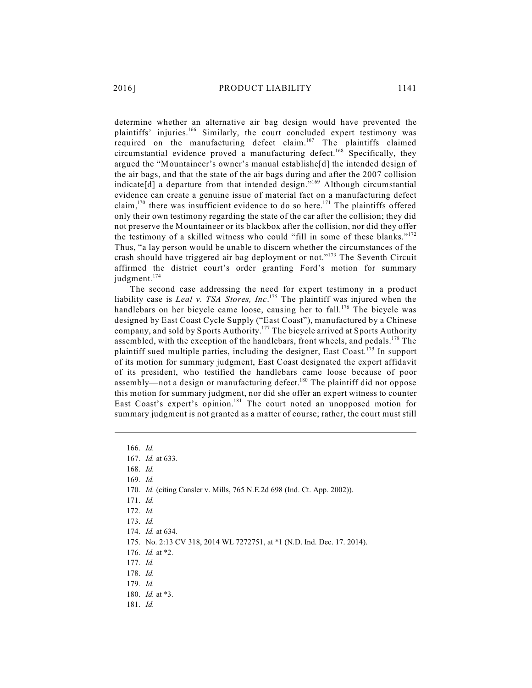determine whether an alternative air bag design would have prevented the plaintiffs' injuries.<sup>166</sup> Similarly, the court concluded expert testimony was required on the manufacturing defect claim.<sup>167</sup> The plaintiffs claimed circumstantial evidence proved a manufacturing defect.<sup>168</sup> Specifically, they argued the "Mountaineer's owner's manual establishe[d] the intended design of the air bags, and that the state of the air bags during and after the 2007 collision indicate[d] a departure from that intended design."<sup>169</sup> Although circumstantial evidence can create a genuine issue of material fact on a manufacturing defect claim,<sup>170</sup> there was insufficient evidence to do so here.<sup>171</sup> The plaintiffs offered only their own testimony regarding the state of the car after the collision; they did not preserve the Mountaineer or its blackbox after the collision, nor did they offer the testimony of a skilled witness who could "fill in some of these blanks."<sup>172</sup> Thus, "a lay person would be unable to discern whether the circumstances of the crash should have triggered air bag deployment or not."<sup>173</sup> The Seventh Circuit affirmed the district court's order granting Ford's motion for summary judgment. 174

The second case addressing the need for expert testimony in a product liability case is *Leal v. TSA Stores, Inc.*<sup>175</sup> The plaintiff was injured when the handlebars on her bicycle came loose, causing her to fall.<sup>176</sup> The bicycle was designed by East Coast Cycle Supply ("East Coast"), manufactured by a Chinese company, and sold by Sports Authority.<sup>177</sup> The bicycle arrived at Sports Authority assembled, with the exception of the handlebars, front wheels, and pedals.<sup>178</sup> The plaintiff sued multiple parties, including the designer, East Coast.<sup>179</sup> In support of its motion for summary judgment, East Coast designated the expert affidavit of its president, who testified the handlebars came loose because of poor assembly—not a design or manufacturing defect.<sup>180</sup> The plaintiff did not oppose this motion for summary judgment, nor did she offer an expert witness to counter East Coast's expert's opinion.<sup>181</sup> The court noted an unopposed motion for summary judgment is not granted as a matter of course; rather, the court must still

166. *Id.*

168. *Id.*

169. *Id.*

170. *Id.* (citing Cansler v. Mills, 765 N.E.2d 698 (Ind. Ct. App. 2002)).

171. *Id.*

172. *Id.*

174. *Id.* at 634.

175. No. 2:13 CV 318, 2014 WL 7272751, at \*1 (N.D. Ind. Dec. 17. 2014).

176. *Id.* at \*2.

177. *Id.*

178. *Id.*

179. *Id.*

180. *Id.* at \*3.

181. *Id.*

<sup>167.</sup> *Id.* at 633.

<sup>173.</sup> *Id.*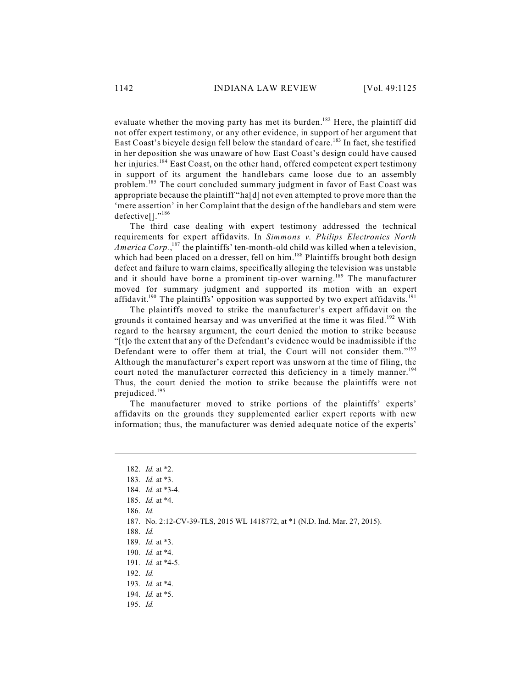evaluate whether the moving party has met its burden.<sup>182</sup> Here, the plaintiff did not offer expert testimony, or any other evidence, in support of her argument that East Coast's bicycle design fell below the standard of care.<sup>183</sup> In fact, she testified in her deposition she was unaware of how East Coast's design could have caused her injuries.<sup>184</sup> East Coast, on the other hand, offered competent expert testimony in support of its argument the handlebars came loose due to an assembly problem.<sup>185</sup> The court concluded summary judgment in favor of East Coast was appropriate because the plaintiff "ha[d] not even attempted to prove more than the 'mere assertion' in her Complaint that the design of the handlebars and stem were defective<sup>[]</sup>."<sup>186</sup>

The third case dealing with expert testimony addressed the technical requirements for expert affidavits. In *Simmons v. Philips Electronics North America Corp.*,<sup>187</sup> the plaintiffs' ten-month-old child was killed when a television, which had been placed on a dresser, fell on him.<sup>188</sup> Plaintiffs brought both design defect and failure to warn claims, specifically alleging the television was unstable and it should have borne a prominent tip-over warning.<sup>189</sup> The manufacturer moved for summary judgment and supported its motion with an expert affidavit.<sup>190</sup> The plaintiffs' opposition was supported by two expert affidavits.<sup>191</sup>

The plaintiffs moved to strike the manufacturer's expert affidavit on the grounds it contained hearsay and was unverified at the time it was filed.<sup>192</sup> With regard to the hearsay argument, the court denied the motion to strike because "[t]o the extent that any of the Defendant's evidence would be inadmissible if the Defendant were to offer them at trial, the Court will not consider them."<sup>193</sup> Although the manufacturer's expert report was unsworn at the time of filing, the court noted the manufacturer corrected this deficiency in a timely manner.<sup>194</sup> Thus, the court denied the motion to strike because the plaintiffs were not prejudiced. 195

The manufacturer moved to strike portions of the plaintiffs' experts' affidavits on the grounds they supplemented earlier expert reports with new information; thus, the manufacturer was denied adequate notice of the experts'

<sup>182.</sup> *Id.* at \*2. 183. *Id.* at \*3. 184. *Id.* at \*3-4. 185. *Id.* at \*4. 186. *Id.* 187. No. 2:12-CV-39-TLS, 2015 WL 1418772, at \*1 (N.D. Ind. Mar. 27, 2015). 188. *Id.* 189. *Id.* at \*3. 190. *Id.* at \*4. 191. *Id.* at \*4-5. 192. *Id.* 193. *Id.* at \*4. 194. *Id.* at \*5.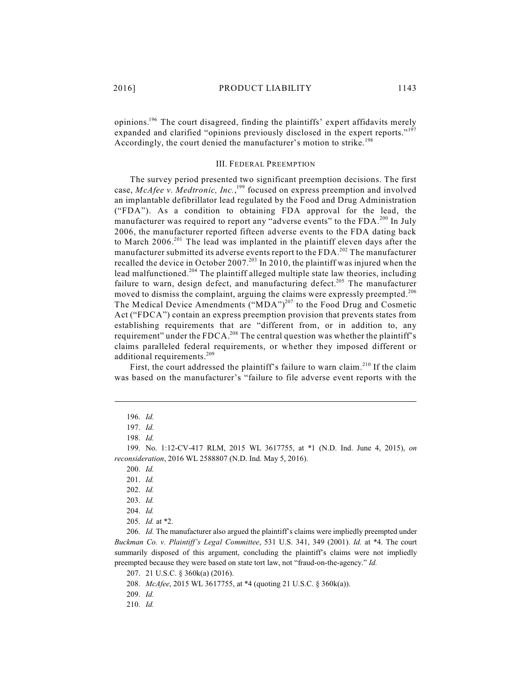opinions.<sup>196</sup> The court disagreed, finding the plaintiffs' expert affidavits merely expanded and clarified "opinions previously disclosed in the expert reports."<sup>197</sup> Accordingly, the court denied the manufacturer's motion to strike.<sup>198</sup>

### III. FEDERAL PREEMPTION

The survey period presented two significant preemption decisions. The first case, McAfee v. Medtronic, Inc.,<sup>199</sup> focused on express preemption and involved an implantable defibrillator lead regulated by the Food and Drug Administration ("FDA"). As a condition to obtaining FDA approval for the lead, the manufacturer was required to report any "adverse events" to the FDA.<sup>200</sup> In July 2006, the manufacturer reported fifteen adverse events to the FDA dating back to March  $2006.^{201}$  The lead was implanted in the plaintiff eleven days after the manufacturer submitted its adverse events report to the FDA.<sup>202</sup> The manufacturer recalled the device in October 2007.<sup>203</sup> In 2010, the plaintiff was injured when the lead malfunctioned.<sup>204</sup> The plaintiff alleged multiple state law theories, including failure to warn, design defect, and manufacturing defect.<sup>205</sup> The manufacturer moved to dismiss the complaint, arguing the claims were expressly preempted.<sup>206</sup> The Medical Device Amendments ("MDA")<sup>207</sup> to the Food Drug and Cosmetic Act ("FDCA") contain an express preemption provision that prevents states from establishing requirements that are "different from, or in addition to, any requirement" under the FDCA.<sup>208</sup> The central question was whether the plaintiff's claims paralleled federal requirements, or whether they imposed different or additional requirements. 209

First, the court addressed the plaintiff's failure to warn claim.<sup>210</sup> If the claim was based on the manufacturer's "failure to file adverse event reports with the

199. No. 1:12-CV-417 RLM, 2015 WL 3617755, at \*1 (N.D. Ind. June 4, 2015), *on reconsideration*, 2016 WL 2588807 (N.D. Ind. May 5, 2016).

200. *Id.*

202. *Id.*

203. *Id.*

204. *Id.*

205. *Id.* at \*2.

206. *Id.* The manufacturer also argued the plaintiff's claims were impliedly preempted under *Buckman Co. v. Plaintiff's Legal Committee*, 531 U.S. 341, 349 (2001). *Id.* at \*4. The court summarily disposed of this argument, concluding the plaintiff's claims were not impliedly preempted because they were based on state tort law, not "fraud-on-the-agency." *Id.*

207. 21 U.S.C. § 360k(a) (2016).

208. *McAfee*, 2015 WL 3617755, at \*4 (quoting 21 U.S.C. § 360k(a)).

209. *Id.*

210. *Id.*

<sup>196.</sup> *Id.*

<sup>197.</sup> *Id.*

<sup>198.</sup> *Id.*

<sup>201.</sup> *Id.*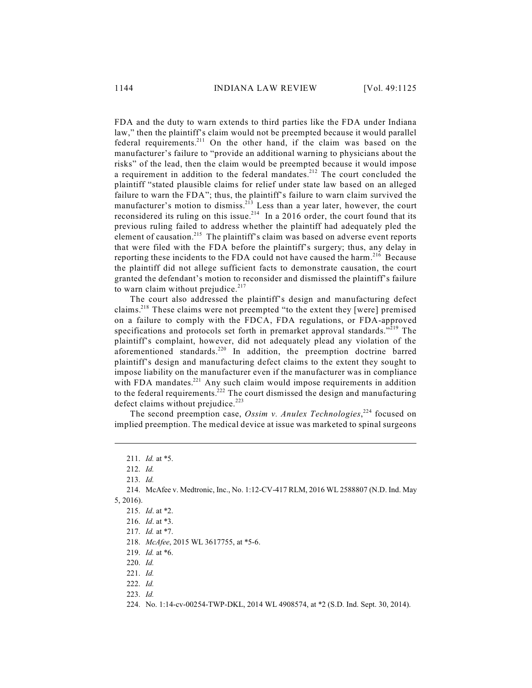FDA and the duty to warn extends to third parties like the FDA under Indiana law," then the plaintiff's claim would not be preempted because it would parallel federal requirements.<sup>211</sup> On the other hand, if the claim was based on the manufacturer's failure to "provide an additional warning to physicians about the risks" of the lead, then the claim would be preempted because it would impose a requirement in addition to the federal mandates.<sup>212</sup> The court concluded the plaintiff "stated plausible claims for relief under state law based on an alleged failure to warn the FDA"; thus, the plaintiff's failure to warn claim survived the manufacturer's motion to dismiss.<sup>213</sup> Less than a year later, however, the court reconsidered its ruling on this issue.<sup>214</sup> In a 2016 order, the court found that its previous ruling failed to address whether the plaintiff had adequately pled the element of causation.<sup>215</sup> The plaintiff's claim was based on adverse event reports that were filed with the FDA before the plaintiff's surgery; thus, any delay in reporting these incidents to the FDA could not have caused the harm.<sup>216</sup> Because the plaintiff did not allege sufficient facts to demonstrate causation, the court granted the defendant's motion to reconsider and dismissed the plaintiff's failure to warn claim without prejudice.<sup>217</sup>

The court also addressed the plaintiff's design and manufacturing defect claims.<sup>218</sup> These claims were not preempted "to the extent they [were] premised on a failure to comply with the FDCA, FDA regulations, or FDA-approved specifications and protocols set forth in premarket approval standards."<sup>219</sup> The plaintiff's complaint, however, did not adequately plead any violation of the aforementioned standards.<sup>220</sup> In addition, the preemption doctrine barred plaintiff's design and manufacturing defect claims to the extent they sought to impose liability on the manufacturer even if the manufacturer was in compliance with FDA mandates. $^{221}$  Any such claim would impose requirements in addition to the federal requirements.<sup>222</sup> The court dismissed the design and manufacturing defect claims without prejudice.<sup>223</sup>

The second preemption case, Ossim v. Anulex Technologies,<sup>224</sup> focused on implied preemption. The medical device at issue was marketed to spinal surgeons

<sup>211.</sup> *Id.* at \*5.

<sup>212.</sup> *Id.*

<sup>213.</sup> *Id.*

<sup>214.</sup> McAfee v. Medtronic, Inc., No. 1:12-CV-417 RLM, 2016 WL 2588807 (N.D. Ind. May 5, 2016).

<sup>215.</sup> *Id*. at \*2.

<sup>216.</sup> *Id*. at \*3.

<sup>217.</sup> *Id.* at \*7.

<sup>218.</sup> *McAfee*, 2015 WL 3617755, at \*5-6.

<sup>219.</sup> *Id.* at \*6.

<sup>220.</sup> *Id.*

<sup>221.</sup> *Id.*

<sup>222.</sup> *Id.*

<sup>223.</sup> *Id.*

<sup>224.</sup> No. 1:14-cv-00254-TWP-DKL, 2014 WL 4908574, at \*2 (S.D. Ind. Sept. 30, 2014).